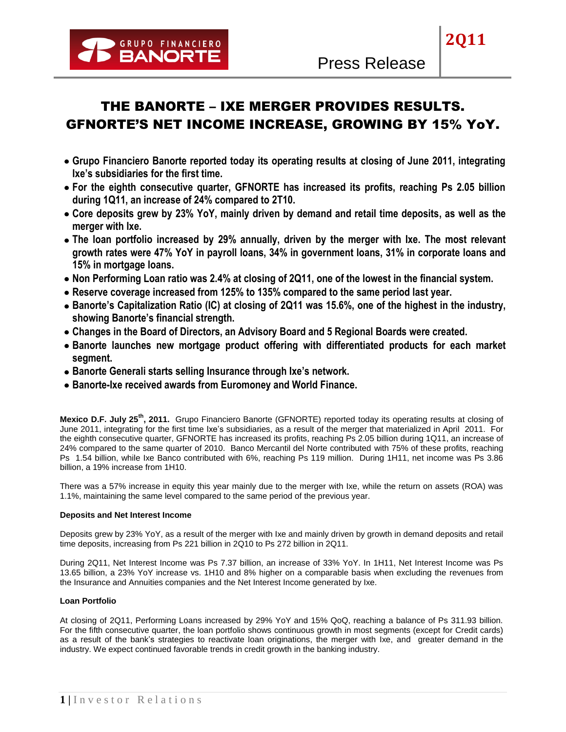

**2Q11**

- **Grupo Financiero Banorte reported today its operating results at closing of June 2011, integrating Ixe's subsidiaries for the first time.**
- **For the eighth consecutive quarter, GFNORTE has increased its profits, reaching Ps 2.05 billion during 1Q11, an increase of 24% compared to 2T10.**
- **Core deposits grew by 23% YoY, mainly driven by demand and retail time deposits, as well as the merger with Ixe.**
- **The loan portfolio increased by 29% annually, driven by the merger with Ixe. The most relevant growth rates were 47% YoY in payroll loans, 34% in government loans, 31% in corporate loans and 15% in mortgage loans.**
- **Non Performing Loan ratio was 2.4% at closing of 2Q11, one of the lowest in the financial system.**
- **Reserve coverage increased from 125% to 135% compared to the same period last year.**
- **Banorte's Capitalization Ratio (IC) at closing of 2Q11 was 15.6%, one of the highest in the industry, showing Banorte's financial strength.**
- **Changes in the Board of Directors, an Advisory Board and 5 Regional Boards were created.**
- **Banorte launches new mortgage product offering with differentiated products for each market segment.**
- **Banorte Generali starts selling Insurance through Ixe's network.**
- **Banorte-Ixe received awards from Euromoney and World Finance.**

**Mexico D.F. July 25th, 2011.** Grupo Financiero Banorte (GFNORTE) reported today its operating results at closing of June 2011, integrating for the first time Ixe's subsidiaries, as a result of the merger that materialized in April 2011. For the eighth consecutive quarter, GFNORTE has increased its profits, reaching Ps 2.05 billion during 1Q11, an increase of 24% compared to the same quarter of 2010. Banco Mercantil del Norte contributed with 75% of these profits, reaching Ps 1.54 billion, while Ixe Banco contributed with 6%, reaching Ps 119 million. During 1H11, net income was Ps 3.86 billion, a 19% increase from 1H10.

There was a 57% increase in equity this year mainly due to the merger with Ixe, while the return on assets (ROA) was 1.1%, maintaining the same level compared to the same period of the previous year.

# **Deposits and Net Interest Income**

Deposits grew by 23% YoY, as a result of the merger with Ixe and mainly driven by growth in demand deposits and retail time deposits, increasing from Ps 221 billion in 2Q10 to Ps 272 billion in 2Q11.

During 2Q11, Net Interest Income was Ps 7.37 billion, an increase of 33% YoY. In 1H11, Net Interest Income was Ps 13.65 billion, a 23% YoY increase vs. 1H10 and 8% higher on a comparable basis when excluding the revenues from the Insurance and Annuities companies and the Net Interest Income generated by Ixe.

# **Loan Portfolio**

At closing of 2Q11, Performing Loans increased by 29% YoY and 15% QoQ, reaching a balance of Ps 311.93 billion. For the fifth consecutive quarter, the loan portfolio shows continuous growth in most segments (except for Credit cards) as a result of the bank's strategies to reactivate loan originations, the merger with Ixe, and greater demand in the industry. We expect continued favorable trends in credit growth in the banking industry.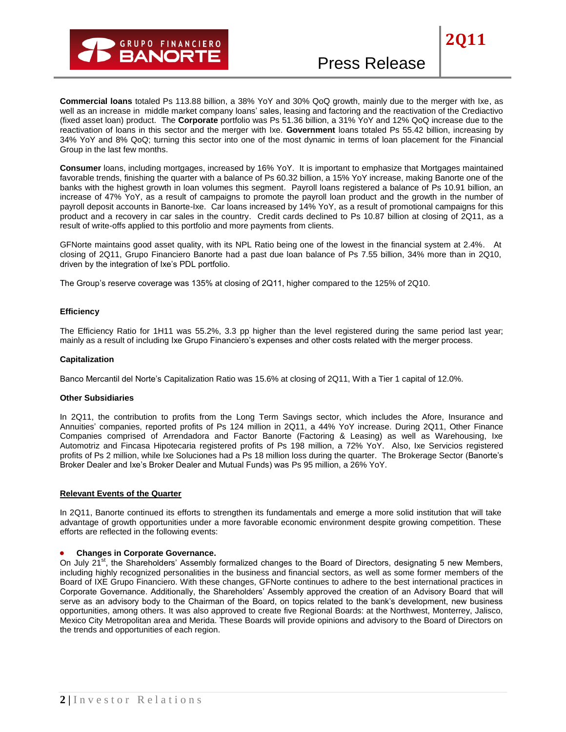

# Press Release

**Commercial loans** totaled Ps 113.88 billion, a 38% YoY and 30% QoQ growth, mainly due to the merger with Ixe, as well as an increase in middle market company loans' sales, leasing and factoring and the reactivation of the Crediactivo (fixed asset loan) product. The **Corporate** portfolio was Ps 51.36 billion, a 31% YoY and 12% QoQ increase due to the reactivation of loans in this sector and the merger with Ixe. **Government** loans totaled Ps 55.42 billion, increasing by 34% YoY and 8% QoQ; turning this sector into one of the most dynamic in terms of loan placement for the Financial Group in the last few months.

**Consumer** loans, including mortgages, increased by 16% YoY. It is important to emphasize that Mortgages maintained favorable trends, finishing the quarter with a balance of Ps 60.32 billion, a 15% YoY increase, making Banorte one of the banks with the highest growth in loan volumes this segment. Payroll loans registered a balance of Ps 10.91 billion, an increase of 47% YoY, as a result of campaigns to promote the payroll loan product and the growth in the number of payroll deposit accounts in Banorte-Ixe. Car loans increased by 14% YoY, as a result of promotional campaigns for this product and a recovery in car sales in the country. Credit cards declined to Ps 10.87 billion at closing of 2Q11, as a result of write-offs applied to this portfolio and more payments from clients.

GFNorte maintains good asset quality, with its NPL Ratio being one of the lowest in the financial system at 2.4%. At closing of 2Q11, Grupo Financiero Banorte had a past due loan balance of Ps 7.55 billion, 34% more than in 2Q10, driven by the integration of Ixe's PDL portfolio.

The Group's reserve coverage was 135% at closing of 2Q11, higher compared to the 125% of 2Q10.

### **Efficiency**

The Efficiency Ratio for 1H11 was 55.2%, 3.3 pp higher than the level registered during the same period last year; mainly as a result of including Ixe Grupo Financiero's expenses and other costs related with the merger process.

#### **Capitalization**

Banco Mercantil del Norte's Capitalization Ratio was 15.6% at closing of 2Q11, With a Tier 1 capital of 12.0%.

#### **Other Subsidiaries**

In 2Q11, the contribution to profits from the Long Term Savings sector, which includes the Afore, Insurance and Annuities' companies, reported profits of Ps 124 million in 2Q11, a 44% YoY increase. During 2Q11, Other Finance Companies comprised of Arrendadora and Factor Banorte (Factoring & Leasing) as well as Warehousing, Ixe Automotriz and Fincasa Hipotecaria registered profits of Ps 198 million, a 72% YoY. Also, Ixe Servicios registered profits of Ps 2 million, while Ixe Soluciones had a Ps 18 million loss during the quarter. The Brokerage Sector (Banorte's Broker Dealer and Ixe's Broker Dealer and Mutual Funds) was Ps 95 million, a 26% YoY.

#### **Relevant Events of the Quarter**

In 2Q11, Banorte continued its efforts to strengthen its fundamentals and emerge a more solid institution that will take advantage of growth opportunities under a more favorable economic environment despite growing competition. These efforts are reflected in the following events:

#### **Changes in Corporate Governance.**  $\bullet$

On July 21<sup>st</sup>, the Shareholders' Assembly formalized changes to the Board of Directors, designating 5 new Members, including highly recognized personalities in the business and financial sectors, as well as some former members of the Board of IXE Grupo Financiero. With these changes, GFNorte continues to adhere to the best international practices in Corporate Governance. Additionally, the Shareholders' Assembly approved the creation of an Advisory Board that will serve as an advisory body to the Chairman of the Board, on topics related to the bank's development, new business opportunities, among others. It was also approved to create five Regional Boards: at the Northwest, Monterrey, Jalisco, Mexico City Metropolitan area and Merida. These Boards will provide opinions and advisory to the Board of Directors on the trends and opportunities of each region.